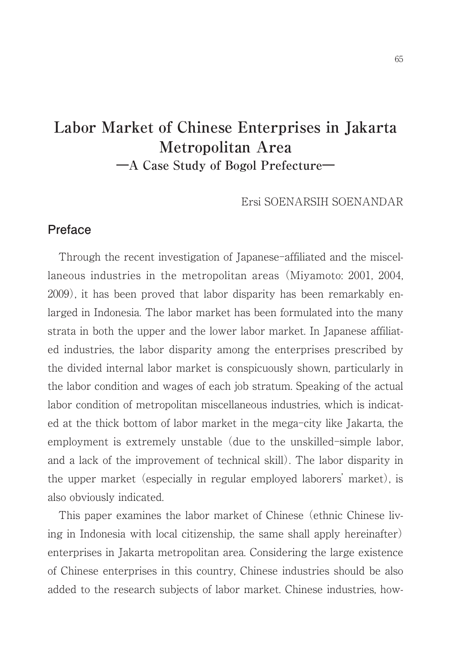# **Labor Market of Chinese Enterprises in Jakarta Metropolitan Area ―A Case Study of Bogol Prefecture―**

Ersi SOENARSIH SOENANDAR

#### **Preface**

Through the recent investigation of Japanese-affiliated and the miscellaneous industries in the metropolitan areas (Miyamoto: 2001, 2004, 2009), it has been proved that labor disparity has been remarkably enlarged in Indonesia. The labor market has been formulated into the many strata in both the upper and the lower labor market. In Japanese affiliated industries, the labor disparity among the enterprises prescribed by the divided internal labor market is conspicuously shown, particularly in the labor condition and wages of each job stratum. Speaking of the actual labor condition of metropolitan miscellaneous industries, which is indicated at the thick bottom of labor market in the mega-city like Jakarta, the employment is extremely unstable (due to the unskilled-simple labor, and a lack of the improvement of technical skill). The labor disparity in the upper market (especially in regular employed laborers' market), is also obviously indicated.

This paper examines the labor market of Chinese (ethnic Chinese living in Indonesia with local citizenship, the same shall apply hereinafter) enterprises in Jakarta metropolitan area. Considering the large existence of Chinese enterprises in this country, Chinese industries should be also added to the research subjects of labor market. Chinese industries, how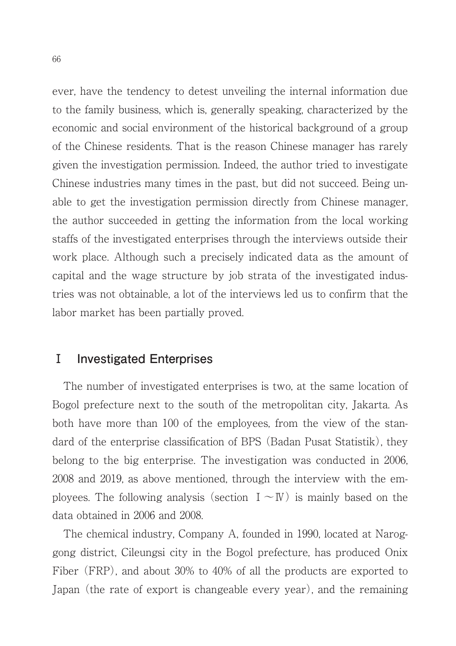ever, have the tendency to detest unveiling the internal information due to the family business, which is, generally speaking, characterized by the economic and social environment of the historical background of a group of the Chinese residents. That is the reason Chinese manager has rarely given the investigation permission. Indeed, the author tried to investigate Chinese industries many times in the past, but did not succeed. Being unable to get the investigation permission directly from Chinese manager, the author succeeded in getting the information from the local working staffs of the investigated enterprises through the interviews outside their work place. Although such a precisely indicated data as the amount of capital and the wage structure by job strata of the investigated industries was not obtainable, a lot of the interviews led us to confirm that the labor market has been partially proved.

### **Ⅰ Investigated Enterprises**

The number of investigated enterprises is two, at the same location of Bogol prefecture next to the south of the metropolitan city, Jakarta. As both have more than 100 of the employees, from the view of the standard of the enterprise classification of BPS (Badan Pusat Statistik), they belong to the big enterprise. The investigation was conducted in 2006, 2008 and 2019, as above mentioned, through the interview with the employees. The following analysis (section  $I \sim W$ ) is mainly based on the data obtained in 2006 and 2008.

The chemical industry, Company A, founded in 1990, located at Naroggong district, Cileungsi city in the Bogol prefecture, has produced Onix Fiber (FRP), and about 30% to 40% of all the products are exported to Japan (the rate of export is changeable every year), and the remaining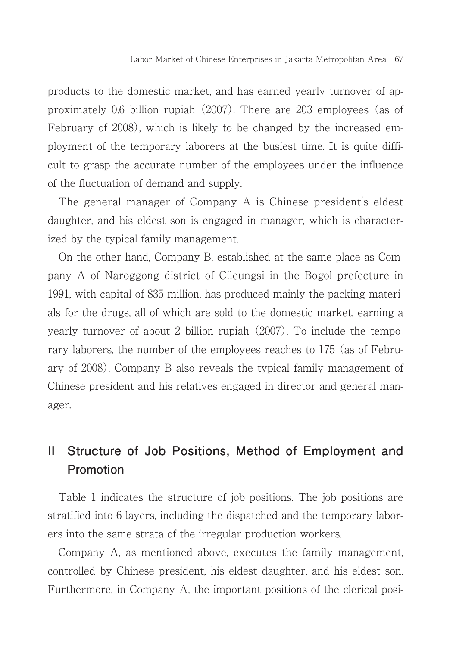products to the domestic market, and has earned yearly turnover of approximately 0.6 billion rupiah (2007). There are 203 employees (as of February of 2008), which is likely to be changed by the increased employment of the temporary laborers at the busiest time. It is quite difficult to grasp the accurate number of the employees under the influence of the fluctuation of demand and supply.

The general manager of Company A is Chinese president's eldest daughter, and his eldest son is engaged in manager, which is characterized by the typical family management.

On the other hand, Company B, established at the same place as Company A of Naroggong district of Cileungsi in the Bogol prefecture in 1991, with capital of \$35 million, has produced mainly the packing materials for the drugs, all of which are sold to the domestic market, earning a yearly turnover of about 2 billion rupiah (2007). To include the temporary laborers, the number of the employees reaches to 175 (as of February of 2008). Company B also reveals the typical family management of Chinese president and his relatives engaged in director and general manager.

# **II Structure of Job Positions, Method of Employment and Promotion**

Table 1 indicates the structure of job positions. The job positions are stratified into 6 layers, including the dispatched and the temporary laborers into the same strata of the irregular production workers.

Company A, as mentioned above, executes the family management, controlled by Chinese president, his eldest daughter, and his eldest son. Furthermore, in Company A, the important positions of the clerical posi-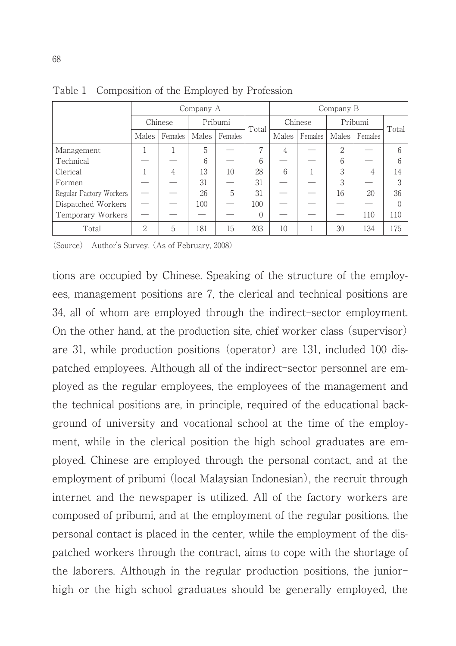|                         | Company A      |         |         |         | Company B |         |         |          |         |       |
|-------------------------|----------------|---------|---------|---------|-----------|---------|---------|----------|---------|-------|
|                         | Chinese        |         | Pribumi |         | Total     | Chinese |         | Pribumi  |         | Total |
|                         | Males          | Females | Males   | Females |           | Males   | Females | Males    | Females |       |
| Management              |                |         | 5       |         |           | 4       |         | $\Omega$ |         | 6     |
| Technical               |                |         | 6       |         | 6         |         |         | 6        |         | 6     |
| Clerical                |                | 4       | 13      | 10      | 28        | 6       |         | 3        | 4       | 14    |
| Formen                  |                |         | 31      |         | 31        |         |         | 3        |         | 3     |
| Regular Factory Workers |                |         | 26      | 5       | 31        |         |         | 16       | 20      | 36    |
| Dispatched Workers      |                |         | 100     |         | 100       |         |         |          |         |       |
| Temporary Workers       |                |         |         |         | $\Omega$  |         |         |          | 110     | 110   |
| Total                   | $\overline{2}$ | 5       | 181     | 15      | 203       | 10      |         | 30       | 134     | 175   |

Table 1 Composition of the Employed by Profession

(Source) Author's Survey. (As of February, 2008)

tions are occupied by Chinese. Speaking of the structure of the employees, management positions are 7, the clerical and technical positions are 34, all of whom are employed through the indirect-sector employment. On the other hand, at the production site, chief worker class (supervisor) are 31, while production positions (operator) are 131, included 100 dispatched employees. Although all of the indirect-sector personnel are employed as the regular employees, the employees of the management and the technical positions are, in principle, required of the educational background of university and vocational school at the time of the employment, while in the clerical position the high school graduates are employed. Chinese are employed through the personal contact, and at the employment of pribumi (local Malaysian Indonesian), the recruit through internet and the newspaper is utilized. All of the factory workers are composed of pribumi, and at the employment of the regular positions, the personal contact is placed in the center, while the employment of the dispatched workers through the contract, aims to cope with the shortage of the laborers. Although in the regular production positions, the juniorhigh or the high school graduates should be generally employed, the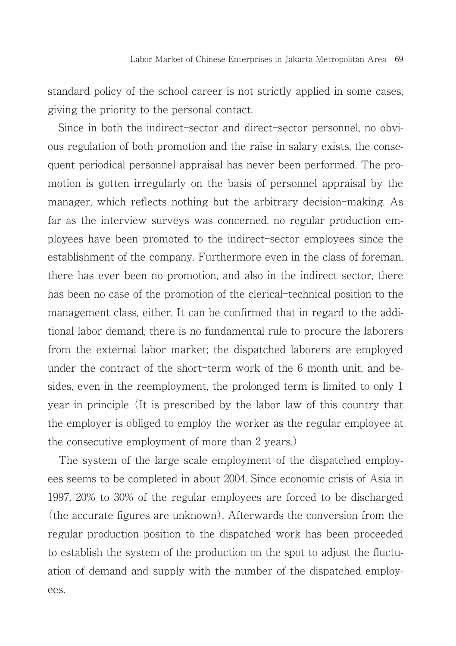standard policy of the school career is not strictly applied in some cases, giving the priority to the personal contact.

Since in both the indirect–sector and direct–sector personnel, no obvious regulation of both promotion and the raise in salary exists, the consequent periodical personnel appraisal has never been performed. The promotion is gotten irregularly on the basis of personnel appraisal by the manager, which reflects nothing but the arbitrary decision–making. As far as the interview surveys was concerned, no regular production employees have been promoted to the indirect-sector employees since the establishment of the company. Furthermore even in the class of foreman, there has ever been no promotion, and also in the indirect sector, there has been no case of the promotion of the clerical-technical position to the management class, either. It can be confirmed that in regard to the additional labor demand, there is no fundamental rule to procure the laborers from the external labor market; the dispatched laborers are employed under the contract of the short–term work of the  $6$  month unit, and besides, even in the reemployment, the prolonged term is limited to only 1 year in principle (It is prescribed by the labor law of this country that the employer is obliged to employ the worker as the regular employee at the consecutive employment of more than 2 years.)

The system of the large scale employment of the dispatched employees seems to be completed in about 2004. Since economic crisis of Asia in 1997, 20% to 30% of the regular employees are forced to be discharged (the accurate figures are unknown). Afterwards the conversion from the regular production position to the dispatched work has been proceeded to establish the system of the production on the spot to adjust the fluctuation of demand and supply with the number of the dispatched employees.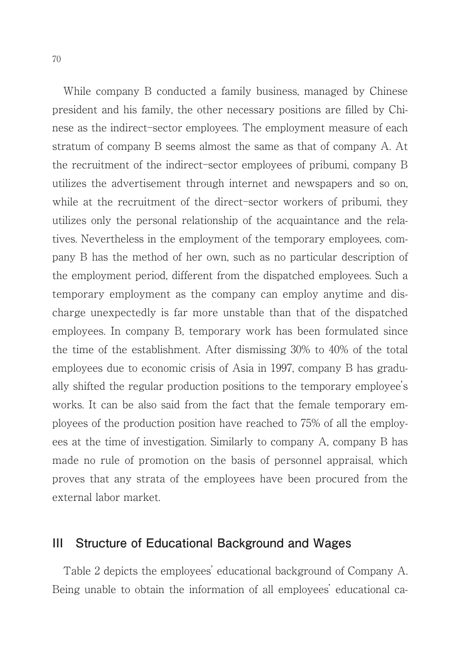While company B conducted a family business, managed by Chinese president and his family, the other necessary positions are filled by Chinese as the indirect-sector employees. The employment measure of each stratum of company B seems almost the same as that of company A. At the recruitment of the indirect-sector employees of pribumi, company B utilizes the advertisement through internet and newspapers and so on, while at the recruitment of the direct-sector workers of pribumi, they utilizes only the personal relationship of the acquaintance and the relatives. Nevertheless in the employment of the temporary employees, company B has the method of her own, such as no particular description of the employment period, different from the dispatched employees. Such a temporary employment as the company can employ anytime and discharge unexpectedly is far more unstable than that of the dispatched employees. In company B, temporary work has been formulated since the time of the establishment. After dismissing 30% to 40% of the total employees due to economic crisis of Asia in 1997, company B has gradually shifted the regular production positions to the temporary employee's works. It can be also said from the fact that the female temporary employees of the production position have reached to 75% of all the employees at the time of investigation. Similarly to company A, company B has made no rule of promotion on the basis of personnel appraisal, which proves that any strata of the employees have been procured from the external labor market.

#### **III Structure of Educational Background and Wages**

Table 2 depicts the employees' educational background of Company A. Being unable to obtain the information of all employees' educational ca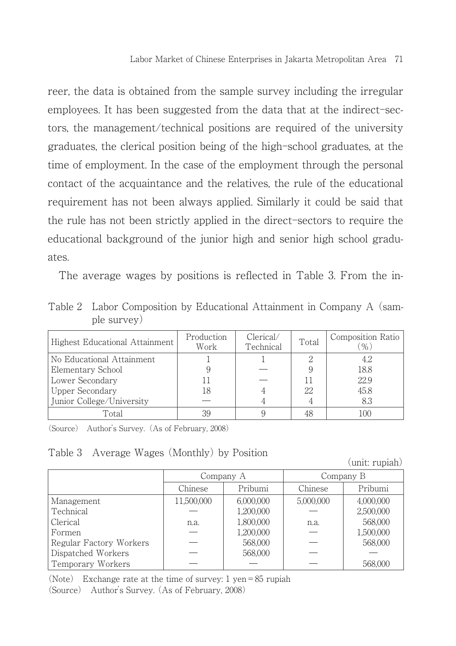reer, the data is obtained from the sample survey including the irregular employees. It has been suggested from the data that at the indirect-sectors, the management/technical positions are required of the university graduates, the clerical position being of the high-school graduates, at the time of employment. In the case of the employment through the personal contact of the acquaintance and the relatives, the rule of the educational requirement has not been always applied. Similarly it could be said that the rule has not been strictly applied in the direct-sectors to require the educational background of the junior high and senior high school graduates.

The average wages by positions is reflected in Table 3. From the in-

Table 2 Labor Composition by Educational Attainment in Company A (sample survey)

| Highest Educational Attainment | Production<br>Work | Clerical/<br>Technical | Total | Composition Ratio<br>% |
|--------------------------------|--------------------|------------------------|-------|------------------------|
| No Educational Attainment      |                    |                        |       | 4.2                    |
| Elementary School              |                    |                        |       | 18.8                   |
| Lower Secondary                |                    |                        |       | 22.9                   |
| Upper Secondary                | 18                 |                        | 22    | 45.8                   |
| Junior College/University      |                    |                        |       | 8.3                    |
| Total                          |                    |                        |       | 100                    |

(Source) Author's Survey.(As of February, 2008)

Table 3 Average Wages (Monthly) by Position (unit: rupiah)

|                         |            | Company A | Company B |           |  |
|-------------------------|------------|-----------|-----------|-----------|--|
|                         | Chinese    | Pribumi   | Chinese   | Pribumi   |  |
| Management              | 11,500,000 | 6,000,000 | 5,000,000 | 4,000,000 |  |
| Technical               |            | 1,200,000 |           | 2,500,000 |  |
| Clerical                | n.a.       | 1,800,000 | n.a.      | 568,000   |  |
| Formen                  |            | 1,200,000 |           | 1,500,000 |  |
| Regular Factory Workers |            | 568,000   |           | 568,000   |  |
| Dispatched Workers      |            | 568,000   |           |           |  |
| Temporary Workers       |            |           |           | 568,000   |  |

(Note) Exchange rate at the time of survey:  $1$  yen = 85 rupiah (Source) Author's Survey. (As of February, 2008)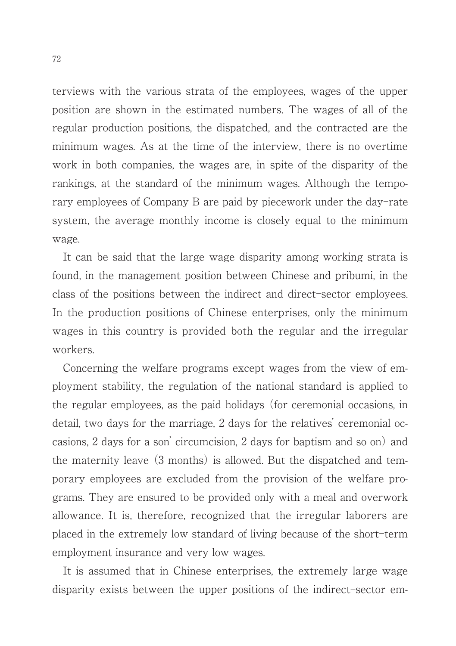terviews with the various strata of the employees, wages of the upper position are shown in the estimated numbers. The wages of all of the regular production positions, the dispatched, and the contracted are the minimum wages. As at the time of the interview, there is no overtime work in both companies, the wages are, in spite of the disparity of the rankings, at the standard of the minimum wages. Although the temporary employees of Company B are paid by piecework under the day-rate system, the average monthly income is closely equal to the minimum wage.

It can be said that the large wage disparity among working strata is found, in the management position between Chinese and pribumi, in the class of the positions between the indirect and direct-sector employees. In the production positions of Chinese enterprises, only the minimum wages in this country is provided both the regular and the irregular workers.

Concerning the welfare programs except wages from the view of employment stability, the regulation of the national standard is applied to the regular employees, as the paid holidays (for ceremonial occasions, in detail, two days for the marriage, 2 days for the relatives' ceremonial occasions, 2 days for a son' circumcision, 2 days for baptism and so on) and the maternity leave (3 months) is allowed. But the dispatched and temporary employees are excluded from the provision of the welfare programs. They are ensured to be provided only with a meal and overwork allowance. It is, therefore, recognized that the irregular laborers are placed in the extremely low standard of living because of the short-term employment insurance and very low wages.

It is assumed that in Chinese enterprises, the extremely large wage disparity exists between the upper positions of the indirect-sector em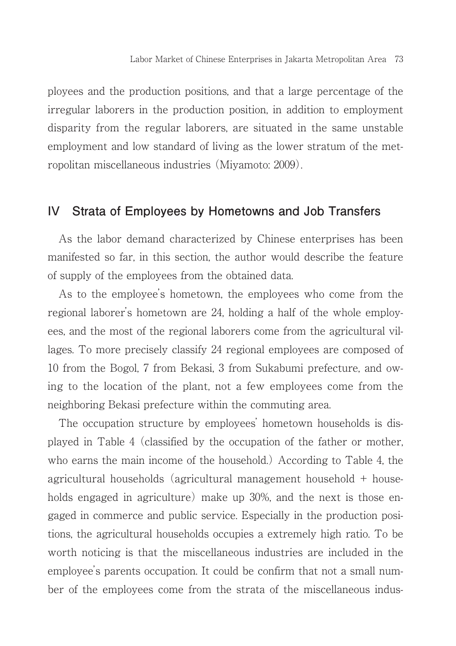ployees and the production positions, and that a large percentage of the irregular laborers in the production position, in addition to employment disparity from the regular laborers, are situated in the same unstable employment and low standard of living as the lower stratum of the metropolitan miscellaneous industries (Miyamoto: 2009).

#### **IV Strata of Employees by Hometowns and Job Transfers**

As the labor demand characterized by Chinese enterprises has been manifested so far, in this section, the author would describe the feature of supply of the employees from the obtained data.

As to the employee's hometown, the employees who come from the regional laborer's hometown are 24, holding a half of the whole employees, and the most of the regional laborers come from the agricultural villages. To more precisely classify 24 regional employees are composed of 10 from the Bogol, 7 from Bekasi, 3 from Sukabumi prefecture, and owing to the location of the plant, not a few employees come from the neighboring Bekasi prefecture within the commuting area.

The occupation structure by employees' hometown households is displayed in Table 4 (classified by the occupation of the father or mother, who earns the main income of the household.) According to Table 4, the agricultural households (agricultural management household + households engaged in agriculture) make up 30%, and the next is those engaged in commerce and public service. Especially in the production positions, the agricultural households occupies a extremely high ratio. To be worth noticing is that the miscellaneous industries are included in the employee's parents occupation. It could be confirm that not a small number of the employees come from the strata of the miscellaneous indus-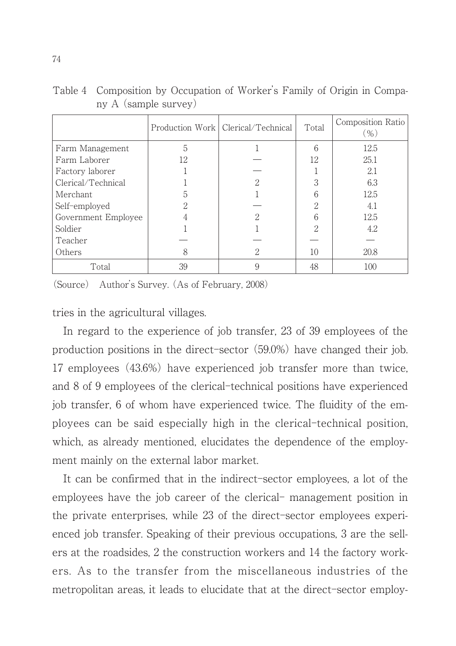|                     |    | Production Work   Clerical/Technical | Total    | Composition Ratio<br>$(\%)$ |
|---------------------|----|--------------------------------------|----------|-----------------------------|
| Farm Management     | 5  |                                      | 6        | 12.5                        |
| Farm Laborer        | 12 |                                      | 12       | 25.1                        |
| Factory laborer     |    |                                      |          | 2.1                         |
| Clerical/Technical  |    | ∩                                    | 3        | 6.3                         |
| Merchant            | 5  |                                      |          | 12.5                        |
| Self-employed       | റ  |                                      | $\Omega$ | 4.1                         |
| Government Employee |    | ິ                                    |          | 12.5                        |
| Soldier             |    |                                      | 9        | 4.2                         |
| Teacher             |    |                                      |          |                             |
| Others              |    | っ                                    | 10       | 20.8                        |
| Total               | 39 |                                      | 48       | 100                         |

Table 4 Composition by Occupation of Worker's Family of Origin in Company A (sample survey)

(Source) Author's Survey. (As of February, 2008)

tries in the agricultural villages.

In regard to the experience of job transfer, 23 of 39 employees of the production positions in the direct-sector  $(59.0\%)$  have changed their job. 17 employees (43.6%) have experienced job transfer more than twice, and 8 of 9 employees of the clerical-technical positions have experienced job transfer, 6 of whom have experienced twice. The fluidity of the employees can be said especially high in the clerical-technical position, which, as already mentioned, elucidates the dependence of the employment mainly on the external labor market.

It can be confirmed that in the indirect-sector employees, a lot of the employees have the job career of the clerical– management position in the private enterprises, while 23 of the direct-sector employees experienced job transfer. Speaking of their previous occupations, 3 are the sellers at the roadsides, 2 the construction workers and 14 the factory workers. As to the transfer from the miscellaneous industries of the metropolitan areas, it leads to elucidate that at the direct-sector employ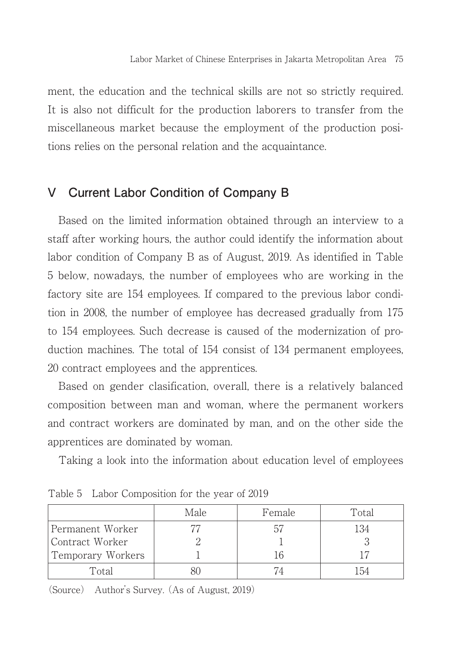ment, the education and the technical skills are not so strictly required. It is also not difficult for the production laborers to transfer from the miscellaneous market because the employment of the production positions relies on the personal relation and the acquaintance.

## **V Current Labor Condition of Company B**

Based on the limited information obtained through an interview to a staff after working hours, the author could identify the information about labor condition of Company B as of August, 2019. As identified in Table 5 below, nowadays, the number of employees who are working in the factory site are 154 employees. If compared to the previous labor condition in 2008, the number of employee has decreased gradually from 175 to 154 employees. Such decrease is caused of the modernization of production machines. The total of 154 consist of 134 permanent employees, 20 contract employees and the apprentices.

Based on gender clasification, overall, there is a relatively balanced composition between man and woman, where the permanent workers and contract workers are dominated by man, and on the other side the apprentices are dominated by woman.

Taking a look into the information about education level of employees

|                   | Male | Female | Total |
|-------------------|------|--------|-------|
| Permanent Worker  |      | h.     | 134   |
| Contract Worker   |      |        |       |
| Temporary Workers |      |        |       |
| Total             |      |        |       |

Table 5 Labor Composition for the year of 2019

(Source) Author's Survey. (As of August, 2019)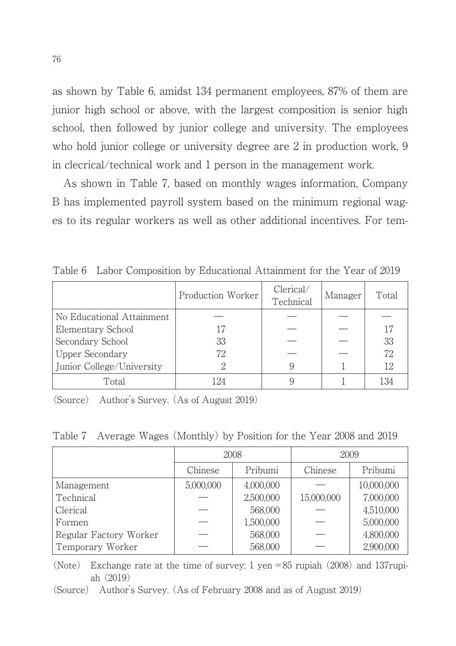as shown by Table 6, amidst 134 permanent employees, 87% of them are junior high school or above, with the largest composition is senior high school, then followed by junior college and university. The employees who hold junior college or university degree are 2 in production work, 9 in clecrical/technical work and 1 person in the management work.

As shown in Table 7, based on monthly wages information, Company B has implemented payroll system based on the minimum regional wages to its regular workers as well as other additional incentives. For tem-

|                           | Production Worker | Clerical/<br>Technical | Manager | Total |
|---------------------------|-------------------|------------------------|---------|-------|
| No Educational Attainment |                   |                        |         |       |
| Elementary School         |                   |                        |         |       |
| Secondary School          | 33                |                        |         | 33    |
| Upper Secondary           | 72                |                        |         | 72    |
| Junior College/University |                   |                        |         | 12    |
| Total                     |                   |                        |         | 134   |

Table 6 Labor Composition by Educational Attainment for the Year of 2019

(Source) Author's Survey. (As of August 2019)

Table 7 Average Wages (Monthly) by Position for the Year 2008 and 2019

|                        | 2008      |           | 2009       |            |
|------------------------|-----------|-----------|------------|------------|
|                        | Chinese   | Pribumi   | Chinese    | Pribumi    |
| Management             | 5,000,000 | 4,000,000 |            | 10,000,000 |
| Technical              |           | 2,500,000 | 15,000,000 | 7,000,000  |
| Clerical               |           | 568,000   |            | 4,510,000  |
| Formen                 |           | 1,500,000 |            | 5,000,000  |
| Regular Factory Worker |           | 568,000   |            | 4,800,000  |
| Temporary Worker       |           | 568,000   |            | 2,900,000  |

(Note) Exchange rate at the time of survey: 1 yen = 85 rupiah (2008) and 137 rupiah (2019)

(Source) Author's Survey. (As of February 2008 and as of August 2019)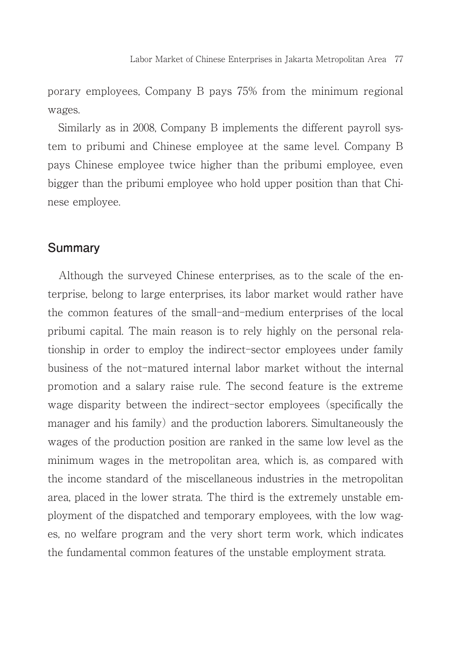porary employees, Company B pays 75% from the minimum regional wages.

Similarly as in 2008, Company B implements the different payroll system to pribumi and Chinese employee at the same level. Company B pays Chinese employee twice higher than the pribumi employee, even bigger than the pribumi employee who hold upper position than that Chinese employee.

#### **Summary**

Although the surveyed Chinese enterprises, as to the scale of the enterprise, belong to large enterprises, its labor market would rather have the common features of the small–and–medium enterprises of the local pribumi capital. The main reason is to rely highly on the personal relationship in order to employ the indirect-sector employees under family business of the not-matured internal labor market without the internal promotion and a salary raise rule. The second feature is the extreme wage disparity between the indirect-sector employees (specifically the manager and his family) and the production laborers. Simultaneously the wages of the production position are ranked in the same low level as the minimum wages in the metropolitan area, which is, as compared with the income standard of the miscellaneous industries in the metropolitan area, placed in the lower strata. The third is the extremely unstable employment of the dispatched and temporary employees, with the low wages, no welfare program and the very short term work, which indicates the fundamental common features of the unstable employment strata.